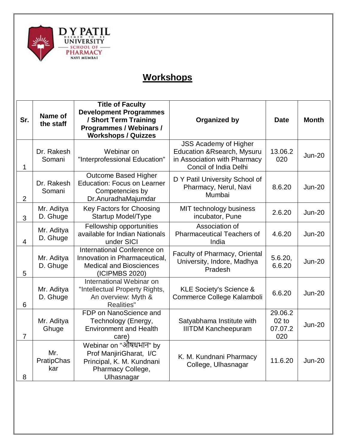

## **Workshops**

|                | Name of                  | <b>Title of Faculty</b><br><b>Development Programmes</b>                                                                |                                                                                                                                        |                                      |               |
|----------------|--------------------------|-------------------------------------------------------------------------------------------------------------------------|----------------------------------------------------------------------------------------------------------------------------------------|--------------------------------------|---------------|
| Sr.            | the staff                | / Short Term Training<br>Programmes / Webinars /<br><b>Workshops / Quizzes</b>                                          | <b>Organized by</b>                                                                                                                    | <b>Date</b>                          | <b>Month</b>  |
| 1              | Dr. Rakesh<br>Somani     | Webinar on<br>"Interprofessional Education"                                                                             | <b>JSS Academy of Higher</b><br><b>Education &amp; Rsearch, Mysuru</b><br>in Association with Pharmacy<br><b>Concil of India Delhi</b> | 13.06.2<br>020                       | <b>Jun-20</b> |
| $\overline{2}$ | Dr. Rakesh<br>Somani     | <b>Outcome Based Higher</b><br><b>Education: Focus on Learner</b><br>Competencies by<br>Dr.AnuradhaMajumdar             | D Y Patil University School of<br>Pharmacy, Nerul, Navi<br>Mumbai                                                                      | 8.6.20                               | <b>Jun-20</b> |
| 3              | Mr. Aditya<br>D. Ghuge   | Key Factors for Choosing<br>Startup Model/Type                                                                          | MIT technology business<br>incubator, Pune                                                                                             | 2.6.20                               | <b>Jun-20</b> |
| $\overline{4}$ | Mr. Aditya<br>D. Ghuge   | Fellowship opportunities<br>available for Indian Nationals<br>under SICI                                                | Association of<br><b>Pharmaceutical Teachers of</b><br>India                                                                           | 4.6.20                               | <b>Jun-20</b> |
| 5              | Mr. Aditya<br>D. Ghuge   | <b>International Conference on</b><br>Innovation in Pharmaceutical,<br><b>Medical and Biosciences</b><br>(ICIPMBS 2020) | Faculty of Pharmacy, Oriental<br>University, Indore, Madhya<br>Pradesh                                                                 | 5.6.20,<br>6.6.20                    | <b>Jun-20</b> |
| 6              | Mr. Aditya<br>D. Ghuge   | International Webinar on<br>"Intellectual Property Rights,<br>An overview: Myth &<br>Realities"                         | <b>KLE Society's Science &amp;</b><br>Commerce College Kalamboli                                                                       | 6.6.20                               | <b>Jun-20</b> |
| $\overline{7}$ | Mr. Aditya<br>Ghuge      | FDP on NanoScience and<br>Technology (Energy,<br><b>Environment and Health</b><br>care)                                 | Satyabhama Institute with<br><b>IIITDM Kancheepuram</b>                                                                                | 29.06.2<br>$02$ to<br>07.07.2<br>020 | <b>Jun-20</b> |
| 8              | Mr.<br>PratipChas<br>kar | Webinar on "औषधभान" by<br>Prof ManjiriGharat, I/C<br>Principal, K. M. Kundnani<br>Pharmacy College,<br>Ulhasnagar       | K. M. Kundnani Pharmacy<br>College, Ulhasnagar                                                                                         | 11.6.20                              | $Jun-20$      |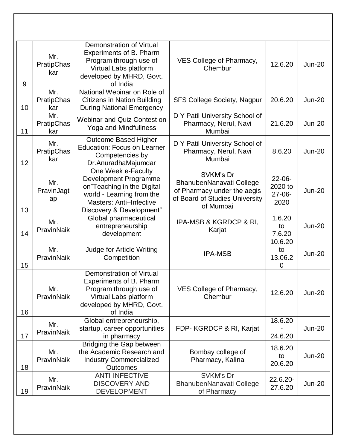| 9  | Mr.<br>PratipChas<br>kar | Demonstration of Virtual<br>Experiments of B. Pharm<br>Program through use of<br>Virtual Labs platform<br>developed by MHRD, Govt.<br>of India                | VES College of Pharmacy,<br>Chembur                                                                                 | 12.6.20                                       | <b>Jun-20</b> |
|----|--------------------------|---------------------------------------------------------------------------------------------------------------------------------------------------------------|---------------------------------------------------------------------------------------------------------------------|-----------------------------------------------|---------------|
| 10 | Mr.<br>PratipChas<br>kar | National Webinar on Role of<br>Citizens in Nation Building<br><b>During National Emergency</b>                                                                | <b>SFS College Society, Nagpur</b>                                                                                  | 20.6.20                                       | <b>Jun-20</b> |
| 11 | Mr.<br>PratipChas<br>kar | Webinar and Quiz Contest on<br>Yoga and Mindfullness                                                                                                          | D Y Patil University School of<br>Pharmacy, Nerul, Navi<br>Mumbai                                                   | 21.6.20                                       | <b>Jun-20</b> |
| 12 | Mr.<br>PratipChas<br>kar | Outcome Based Higher<br><b>Education: Focus on Learner</b><br>Competencies by<br>Dr.AnuradhaMajumdar                                                          | D Y Patil University School of<br>Pharmacy, Nerul, Navi<br>Mumbai                                                   | 8.6.20                                        | <b>Jun-20</b> |
| 13 | Mr.<br>PravinJagt<br>ap  | One Week e-Faculty<br>Development Programme<br>on"Teaching in the Digital<br>world - Learning from the<br>Masters: Anti-Infective<br>Discovery & Development" | SVKM's Dr<br>BhanubenNanavati College<br>of Pharmacy under the aegis<br>of Board of Studies University<br>of Mumbai | $22 - 06 -$<br>2020 to<br>$27 - 06 -$<br>2020 | <b>Jun-20</b> |
| 14 | Mr.<br>PravinNaik        | Global pharmaceutical<br>entrepreneurship<br>development                                                                                                      | IPA-MSB & KGRDCP & RI,<br>Karjat                                                                                    | 1.6.20<br>to<br>7.6.20                        | <b>Jun-20</b> |
| 15 | Mr.<br>PravinNaik        | Judge for Article Writing<br>Competition                                                                                                                      | <b>IPA-MSB</b>                                                                                                      | 10.6.20<br>to<br>13.06.2<br>$\mathbf 0$       | <b>Jun-20</b> |
| 16 | Mr.<br>PravinNaik        | <b>Demonstration of Virtual</b><br>Experiments of B. Pharm<br>Program through use of<br>Virtual Labs platform<br>developed by MHRD, Govt.<br>of India         | VES College of Pharmacy,<br>Chembur                                                                                 | 12.6.20                                       | <b>Jun-20</b> |
| 17 | Mr.<br>PravinNaik        | Global entrepreneurship,<br>startup, career opportunities<br>in pharmacy                                                                                      | FDP- KGRDCP & RI, Karjat                                                                                            | 18.6.20<br>24.6.20                            | <b>Jun-20</b> |
| 18 | Mr.<br>PravinNaik        | Bridging the Gap between<br>the Academic Research and<br><b>Industry Commercialized</b><br><b>Outcomes</b>                                                    | Bombay college of<br>Pharmacy, Kalina                                                                               | 18.6.20<br>to<br>20.6.20                      | <b>Jun-20</b> |
| 19 | Mr.<br>PravinNaik        | <b>ANTI-INFECTIVE</b><br><b>DISCOVERY AND</b><br><b>DEVELOPMENT</b>                                                                                           | <b>SVKM's Dr</b><br>BhanubenNanavati College<br>of Pharmacy                                                         | $22.6.20 -$<br>27.6.20                        | <b>Jun-20</b> |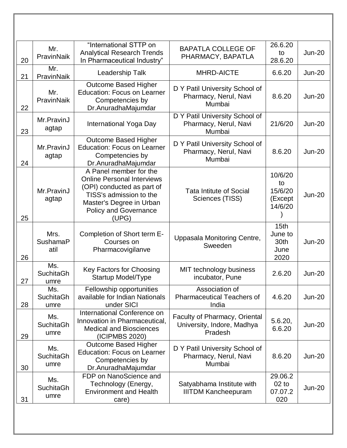| 20 | Mr.<br>PravinNaik               | "International STTP on<br><b>Analytical Research Trends</b><br>In Pharmaceutical Industry"                                                                                                | <b>BAPATLA COLLEGE OF</b><br>PHARMACY, BAPATLA                         | 26.6.20<br>to<br>28.6.20                            | <b>Jun-20</b> |
|----|---------------------------------|-------------------------------------------------------------------------------------------------------------------------------------------------------------------------------------------|------------------------------------------------------------------------|-----------------------------------------------------|---------------|
| 21 | Mr.<br>PravinNaik               | Leadership Talk                                                                                                                                                                           | <b>MHRD-AICTE</b>                                                      | 6.6.20                                              | <b>Jun-20</b> |
| 22 | Mr.<br>PravinNaik               | Outcome Based Higher<br><b>Education: Focus on Learner</b><br>Competencies by<br>Dr.AnuradhaMajumdar                                                                                      | D Y Patil University School of<br>Pharmacy, Nerul, Navi<br>Mumbai      | 8.6.20                                              | <b>Jun-20</b> |
| 23 | Mr.PravinJ<br>agtap             | International Yoga Day                                                                                                                                                                    | D Y Patil University School of<br>Pharmacy, Nerul, Navi<br>Mumbai      | 21/6/20                                             | <b>Jun-20</b> |
| 24 | Mr.PravinJ<br>agtap             | Outcome Based Higher<br><b>Education: Focus on Learner</b><br>Competencies by<br>Dr.AnuradhaMajumdar                                                                                      | D Y Patil University School of<br>Pharmacy, Nerul, Navi<br>Mumbai      | 8.6.20                                              | <b>Jun-20</b> |
| 25 | Mr.PravinJ<br>agtap             | A Panel member for the<br><b>Online Personal Interviews</b><br>(OPI) conducted as part of<br>TISS's admission to the<br>Master's Degree in Urban<br><b>Policy and Governance</b><br>(UPG) | <b>Tata Intitute of Social</b><br>Sciences (TISS)                      | 10/6/20<br>to<br>15/6/20<br>(Except<br>14/6/20      | <b>Jun-20</b> |
| 26 | Mrs.<br><b>SushamaP</b><br>atil | Completion of Short term E-<br>Courses on<br>Pharmacovigilanve                                                                                                                            | Uppasala Monitoring Centre,<br>Sweeden                                 | 15 <sub>th</sub><br>June to<br>30th<br>June<br>2020 | <b>Jun-20</b> |
| 27 | Ms.<br><b>SuchitaGh</b><br>umre | Key Factors for Choosing<br><b>Startup Model/Type</b>                                                                                                                                     | MIT technology business<br>incubator, Pune                             | 2.6.20                                              | <b>Jun-20</b> |
| 28 | Ms.<br><b>SuchitaGh</b><br>umre | Fellowship opportunities<br>available for Indian Nationals<br>under SICI                                                                                                                  | Association of<br><b>Pharmaceutical Teachers of</b><br>India           | 4.6.20                                              | <b>Jun-20</b> |
| 29 | Ms.<br><b>SuchitaGh</b><br>umre | International Conference on<br>Innovation in Pharmaceutical,<br><b>Medical and Biosciences</b><br>(ICIPMBS 2020)                                                                          | Faculty of Pharmacy, Oriental<br>University, Indore, Madhya<br>Pradesh | 5.6.20,<br>6.6.20                                   | <b>Jun-20</b> |
| 30 | Ms.<br><b>SuchitaGh</b><br>umre | <b>Outcome Based Higher</b><br><b>Education: Focus on Learner</b><br>Competencies by<br>Dr.AnuradhaMajumdar                                                                               | D Y Patil University School of<br>Pharmacy, Nerul, Navi<br>Mumbai      | 8.6.20                                              | <b>Jun-20</b> |
| 31 | Ms.<br><b>SuchitaGh</b><br>umre | FDP on NanoScience and<br>Technology (Energy,<br><b>Environment and Health</b><br>care)                                                                                                   | Satyabhama Institute with<br><b>IIITDM Kancheepuram</b>                | 29.06.2<br>$02$ to<br>07.07.2<br>020                | <b>Jun-20</b> |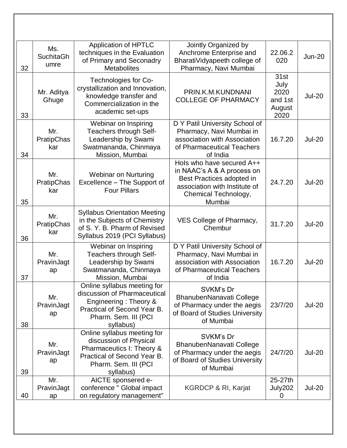| 32 | Ms.<br><b>SuchitaGh</b><br>umre | <b>Application of HPTLC</b><br>techniques in the Evaluation<br>of Primary and Seconadry<br><b>Metabolites</b>                                            | Jointly Organized by<br>Anchrome Enterprise and<br>BharatiVidyapeeth college of<br>Pharmacy, Navi Mumbai                                                | 22.06.2<br>020                                    | <b>Jun-20</b> |
|----|---------------------------------|----------------------------------------------------------------------------------------------------------------------------------------------------------|---------------------------------------------------------------------------------------------------------------------------------------------------------|---------------------------------------------------|---------------|
| 33 | Mr. Aditya<br>Ghuge             | Technologies for Co-<br>crystallization and Innovation,<br>knowledge transfer and<br>Commercialization in the<br>academic set-ups                        | PRIN.K.M.KUNDNANI<br><b>COLLEGE OF PHARMACY</b>                                                                                                         | 31st<br>July<br>2020<br>and 1st<br>August<br>2020 | <b>Jul-20</b> |
| 34 | Mr.<br>PratipChas<br>kar        | Webinar on Inspiring<br>Teachers through Self-<br>Leadership by Swami<br>Swatmananda, Chinmaya<br>Mission, Mumbai                                        | D Y Patil University School of<br>Pharmacy, Navi Mumbai in<br>association with Association<br>of Pharmaceutical Teachers<br>of India                    | 16.7.20                                           | <b>Jul-20</b> |
| 35 | Mr.<br>PratipChas<br>kar        | <b>Webinar on Nurturing</b><br>Excellence - The Support of<br><b>Four Pillars</b>                                                                        | Hols who have secured A++<br>in NAAC's A & A process on<br>Best Practices adopted in<br>association with Institute of<br>Chemical Technology,<br>Mumbai | 24.7.20                                           | <b>Jul-20</b> |
| 36 | Mr.<br>PratipChas<br>kar        | <b>Syllabus Orientation Meeting</b><br>in the Subjects of Chemistry<br>of S. Y. B. Pharm of Revised<br>Syllabus 2019 (PCI Syllabus)                      | VES College of Pharmacy,<br>Chembur                                                                                                                     | 31.7.20                                           | <b>Jul-20</b> |
| 37 | Mr.<br>PravinJagt<br>ap         | Webinar on Inspiring<br>Teachers through Self-<br>Leadership by Swami<br>Swatmananda, Chinmaya<br>Mission, Mumbai                                        | D Y Patil University School of<br>Pharmacy, Navi Mumbai in<br>association with Association<br>of Pharmaceutical Teachers<br>of India                    | 16.7.20                                           | <b>Jul-20</b> |
| 38 | Mr.<br>PravinJagt<br>ap         | Online syllabus meeting for<br>discussion of Pharmaceutical<br>Engineering: Theory &<br>Practical of Second Year B.<br>Pharm. Sem. III (PCI<br>syllabus) | SVKM's Dr<br>BhanubenNanavati College<br>of Pharmacy under the aegis<br>of Board of Studies University<br>of Mumbai                                     | 23/7/20                                           | <b>Jul-20</b> |
| 39 | Mr.<br>PravinJagt<br>ap         | Online syllabus meeting for<br>discussion of Physical<br>Pharmaceutics I: Theory &<br>Practical of Second Year B.<br>Pharm. Sem. III (PCI<br>syllabus)   | SVKM's Dr<br>BhanubenNanavati College<br>of Pharmacy under the aegis<br>of Board of Studies University<br>of Mumbai                                     | 24/7/20                                           | <b>Jul-20</b> |
| 40 | Mr.<br>PravinJagt<br>ap         | AICTE sponsered e-<br>conference " Global impact<br>on regulatory management"                                                                            | KGRDCP & RI, Karjat                                                                                                                                     | 25-27th<br>July202                                | <b>Jul-20</b> |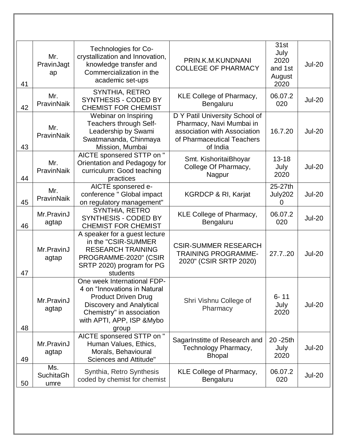| 41 | Mr.<br>PravinJagt<br>ap         | Technologies for Co-<br>crystallization and Innovation,<br>knowledge transfer and<br>Commercialization in the<br>academic set-ups                                                         | PRIN.K.M.KUNDNANI<br><b>COLLEGE OF PHARMACY</b>                                                                                      | 31st<br>July<br>2020<br>and 1st<br>August<br>2020 | <b>Jul-20</b> |
|----|---------------------------------|-------------------------------------------------------------------------------------------------------------------------------------------------------------------------------------------|--------------------------------------------------------------------------------------------------------------------------------------|---------------------------------------------------|---------------|
| 42 | Mr.<br>PravinNaik               | SYNTHIA, RETRO<br>SYNTHESIS - CODED BY<br><b>CHEMIST FOR CHEMIST</b>                                                                                                                      | <b>KLE College of Pharmacy,</b><br>Bengaluru                                                                                         | 06.07.2<br>020                                    | <b>Jul-20</b> |
| 43 | Mr.<br>PravinNaik               | Webinar on Inspiring<br>Teachers through Self-<br>Leadership by Swami<br>Swatmananda, Chinmaya<br>Mission, Mumbai                                                                         | D Y Patil University School of<br>Pharmacy, Navi Mumbai in<br>association with Association<br>of Pharmaceutical Teachers<br>of India | 16.7.20                                           | <b>Jul-20</b> |
| 44 | Mr.<br>PravinNaik               | AICTE sponsered STTP on "<br>Orientation and Pedagogy for<br>curriculum: Good teaching<br>practices                                                                                       | Smt. KishoritaiBhoyar<br>College Of Pharmacy,<br>Nagpur                                                                              | $13 - 18$<br>July<br>2020                         | <b>Jul-20</b> |
| 45 | Mr.<br>PravinNaik               | AICTE sponsered e-<br>conference " Global impact<br>on regulatory management"                                                                                                             | <b>KGRDCP &amp; RI, Karjat</b>                                                                                                       | 25-27th<br>July202<br>0                           | <b>Jul-20</b> |
| 46 | Mr.PravinJ<br>agtap             | <b>SYNTHIA, RETRO</b><br>SYNTHESIS - CODED BY<br><b>CHEMIST FOR CHEMIST</b>                                                                                                               | <b>KLE College of Pharmacy,</b><br>Bengaluru                                                                                         | 06.07.2<br>020                                    | <b>Jul-20</b> |
| 47 | Mr.PravinJ<br>agtap             | A speaker for a guest lecture<br>in the "CSIR-SUMMER<br><b>RESEARCH TRAINING</b><br>PROGRAMME-2020" (CSIR<br>SRTP 2020) program for PG<br>students                                        | <b>CSIR-SUMMER RESEARCH</b><br><b>TRAINING PROGRAMME-</b><br>2020" (CSIR SRTP 2020)                                                  | 27.720                                            | <b>Jul-20</b> |
| 48 | Mr.PravinJ<br>agtap             | One week International FDP-<br>4 on "Innovations in Natural<br><b>Product Driven Drug</b><br>Discovery and Analytical<br>Chemistry" in association<br>with APTI, APP, ISP & Mybo<br>group | Shri Vishnu College of<br>Pharmacy                                                                                                   | $6 - 11$<br>July<br>2020                          | <b>Jul-20</b> |
| 49 | Mr.PravinJ<br>agtap             | AICTE sponsered STTP on "<br>Human Values, Ethics,<br>Morals, Behavioural<br>Sciences and Attitude"                                                                                       | SagarInstitte of Research and<br>Technology Pharmacy,<br><b>Bhopal</b>                                                               | 20 - 25th<br>July<br>2020                         | <b>Jul-20</b> |
| 50 | Ms.<br><b>SuchitaGh</b><br>umre | Synthia, Retro Synthesis<br>coded by chemist for chemist                                                                                                                                  | KLE College of Pharmacy,<br>Bengaluru                                                                                                | 06.07.2<br>020                                    | <b>Jul-20</b> |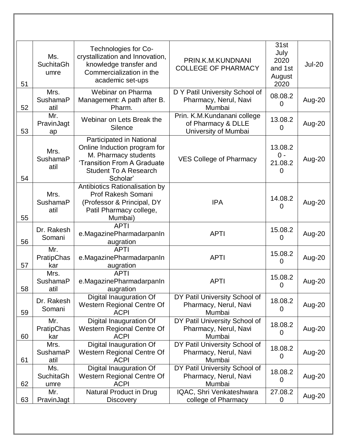| 51 | Ms.<br><b>SuchitaGh</b><br>umre | Technologies for Co-<br>crystallization and Innovation,<br>knowledge transfer and<br>Commercialization in the<br>academic set-ups                           | PRIN.K.M.KUNDNANI<br><b>COLLEGE OF PHARMACY</b>                           | 31st<br>July<br>2020<br>and 1st<br>August<br>2020 | <b>Jul-20</b> |
|----|---------------------------------|-------------------------------------------------------------------------------------------------------------------------------------------------------------|---------------------------------------------------------------------------|---------------------------------------------------|---------------|
| 52 | Mrs.<br><b>SushamaP</b><br>atil | Webinar on Pharma<br>Management: A path after B.<br>Pharm.                                                                                                  | D Y Patil University School of<br>Pharmacy, Nerul, Navi<br>Mumbai         | 08.08.2<br>$\Omega$                               | Aug-20        |
| 53 | Mr.<br>PravinJagt<br>ap         | Webinar on Lets Break the<br>Silence                                                                                                                        | Prin. K.M.Kundanani college<br>of Pharmacy & DLLE<br>University of Mumbai | 13.08.2<br>0                                      | Aug-20        |
| 54 | Mrs.<br><b>SushamaP</b><br>atil | Participated in National<br>Online Induction program for<br>M. Pharmacy students<br>'Transition From A Graduate<br><b>Student To A Research</b><br>Scholar' | <b>VES College of Pharmacy</b>                                            | 13.08.2<br>$0 -$<br>21.08.2<br>0                  | Aug-20        |
| 55 | Mrs.<br>SushamaP<br>atil        | Antibiotics Rationalisation by<br>Prof Rakesh Somani<br>(Professor & Principal, DY<br>Patil Pharmacy college,<br>Mumbai)                                    | <b>IPA</b>                                                                | 14.08.2<br>0                                      | Aug-20        |
| 56 | Dr. Rakesh<br>Somani            | <b>APTI</b><br>e.MagazinePharmadarpanIn<br>augration                                                                                                        | <b>APTI</b>                                                               | 15.08.2<br>$\overline{0}$                         | Aug-20        |
| 57 | Mr.<br>PratipChas<br>kar        | <b>APTI</b><br>e.MagazinePharmadarpanIn<br>augration                                                                                                        | <b>APTI</b>                                                               | 15.08.2<br>0                                      | Aug-20        |
| 58 | Mrs.<br>SushamaP<br>atil        | <b>APTI</b><br>e.MagazinePharmadarpanIn<br>augration                                                                                                        | <b>APTI</b>                                                               | 15.08.2<br>0                                      | Aug-20        |
| 59 | Dr. Rakesh<br>Somani            | Digital Inauguration Of<br>Western Regional Centre Of<br><b>ACPI</b>                                                                                        | DY Patil University School of<br>Pharmacy, Nerul, Navi<br>Mumbai          | 18.08.2<br>0                                      | Aug-20        |
| 60 | Mr.<br>PratipChas<br>kar        | Digital Inauguration Of<br>Western Regional Centre Of<br><b>ACPI</b>                                                                                        | DY Patil University School of<br>Pharmacy, Nerul, Navi<br>Mumbai          | 18.08.2<br>0                                      | Aug-20        |
| 61 | Mrs.<br>SushamaP<br>atil        | Digital Inauguration Of<br>Western Regional Centre Of<br><b>ACPI</b>                                                                                        | DY Patil University School of<br>Pharmacy, Nerul, Navi<br>Mumbai          | 18.08.2<br>0                                      | Aug-20        |
| 62 | Ms.<br><b>SuchitaGh</b><br>umre | Digital Inauguration Of<br>Western Regional Centre Of<br><b>ACPI</b>                                                                                        | DY Patil University School of<br>Pharmacy, Nerul, Navi<br>Mumbai          | 18.08.2<br>0                                      | Aug-20        |
| 63 | Mr.<br>PravinJagt               | Natural Product in Drug<br><b>Discovery</b>                                                                                                                 | IQAC, Shri Venkateshwara<br>college of Pharmacy                           | 27.08.2<br>0                                      | Aug-20        |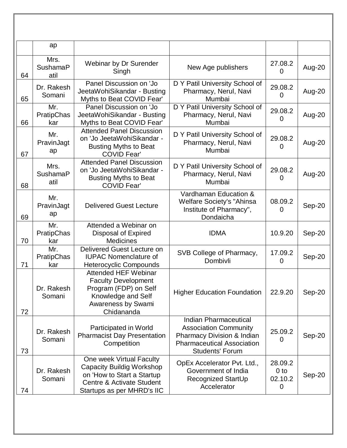|    | ap                              |                                                                                                                                                |                                                                                                                                                    |                                            |        |
|----|---------------------------------|------------------------------------------------------------------------------------------------------------------------------------------------|----------------------------------------------------------------------------------------------------------------------------------------------------|--------------------------------------------|--------|
| 64 | Mrs.<br><b>SushamaP</b><br>atil | Webinar by Dr Surender<br>Singh                                                                                                                | New Age publishers                                                                                                                                 | 27.08.2<br>0                               | Aug-20 |
| 65 | Dr. Rakesh<br>Somani            | Panel Discussion on 'Jo<br>JeetaWohiSikandar - Busting<br>Myths to Beat COVID Fear'                                                            | D Y Patil University School of<br>Pharmacy, Nerul, Navi<br>Mumbai                                                                                  | 29.08.2<br>0                               | Aug-20 |
| 66 | Mr.<br>PratipChas<br>kar        | Panel Discussion on 'Jo<br>JeetaWohiSikandar - Busting<br>Myths to Beat COVID Fear'                                                            | D Y Patil University School of<br>Pharmacy, Nerul, Navi<br>Mumbai                                                                                  | 29.08.2<br>0                               | Aug-20 |
| 67 | Mr.<br>PravinJagt<br>ap         | <b>Attended Panel Discussion</b><br>on 'Jo JeetaWohiSikandar -<br><b>Busting Myths to Beat</b><br><b>COVID Fear'</b>                           | D Y Patil University School of<br>Pharmacy, Nerul, Navi<br>Mumbai                                                                                  | 29.08.2<br>0                               | Aug-20 |
| 68 | Mrs.<br><b>SushamaP</b><br>atil | <b>Attended Panel Discussion</b><br>on 'Jo JeetaWohiSikandar -<br><b>Busting Myths to Beat</b><br><b>COVID Fear'</b>                           | D Y Patil University School of<br>Pharmacy, Nerul, Navi<br>Mumbai                                                                                  | 29.08.2<br>0                               | Aug-20 |
| 69 | Mr.<br>PravinJagt<br>ap         | <b>Delivered Guest Lecture</b>                                                                                                                 | Vardhaman Education &<br><b>Welfare Society's "Ahinsa</b><br>Institute of Pharmacy",<br>Dondaicha                                                  | 08.09.2<br>0                               | Sep-20 |
| 70 | Mr.<br>PratipChas<br>kar        | Attended a Webinar on<br>Disposal of Expired<br><b>Medicines</b>                                                                               | <b>IDMA</b>                                                                                                                                        | 10.9.20                                    | Sep-20 |
| 71 | Mr.<br>PratipChas<br>kar        | Delivered Guest Lecture on<br><b>IUPAC Nomenclature of</b><br><b>Heterocyclic Compounds</b>                                                    | SVB College of Pharmacy,<br>Dombivli                                                                                                               | 17.09.2<br>0                               | Sep-20 |
| 72 | Dr. Rakesh<br>Somani            | <b>Attended HEF Webinar</b><br><b>Faculty Development</b><br>Program (FDP) on Self<br>Knowledge and Self<br>Awareness by Swami<br>Chidananda   | <b>Higher Education Foundation</b>                                                                                                                 | 22.9.20                                    | Sep-20 |
| 73 | Dr. Rakesh<br>Somani            | Participated in World<br><b>Pharmacist Day Presentation</b><br>Competition                                                                     | Indian Pharmaceutical<br><b>Association Community</b><br>Pharmacy Division & Indian<br><b>Pharmaceutical Association</b><br><b>Students' Forum</b> | 25.09.2<br>0                               | Sep-20 |
| 74 | Dr. Rakesh<br>Somani            | One week Virtual Faculty<br>Capacity Buildig Workshop<br>on 'How to Start a Startup<br>Centre & Activate Student<br>Startups as per MHRD's IIC | OpEx Accelerator Pvt. Ltd.,<br>Government of India<br>Recognized StartUp<br>Accelerator                                                            | 28.09.2<br>0 <sub>to</sub><br>02.10.2<br>0 | Sep-20 |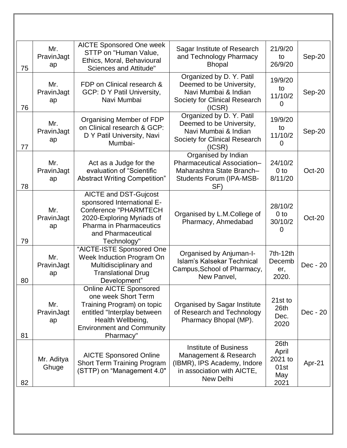| 75 | Mr.<br>PravinJagt<br>ap | <b>AICTE Sponsored One week</b><br>STTP on "Human Value,<br>Ethics, Moral, Behavioural<br>Sciences and Attitude"                                                                               | Sagar Institute of Research<br>and Technology Pharmacy<br><b>Bhopal</b>                                                         | 21/9/20<br>to<br>26/9/20                        | Sep-20   |
|----|-------------------------|------------------------------------------------------------------------------------------------------------------------------------------------------------------------------------------------|---------------------------------------------------------------------------------------------------------------------------------|-------------------------------------------------|----------|
| 76 | Mr.<br>PravinJagt<br>ap | FDP on Clinical research &<br><b>GCP: D Y Patil University,</b><br>Navi Mumbai                                                                                                                 | Organized by D. Y. Patil<br>Deemed to be University,<br>Navi Mumbai & Indian<br>Society for Clinical Research<br>(ICSR)         | 19/9/20<br>to<br>11/10/2<br>0                   | Sep-20   |
| 77 | Mr.<br>PravinJagt<br>ap | Organising Member of FDP<br>on Clinical research & GCP:<br>D Y Patil University, Navi<br>Mumbai-                                                                                               | Organized by D. Y. Patil<br>Deemed to be University,<br>Navi Mumbai & Indian<br>Society for Clinical Research<br>(ICSR)         | 19/9/20<br>to<br>11/10/2<br>0                   | Sep-20   |
| 78 | Mr.<br>PravinJagt<br>ap | Act as a Judge for the<br>evaluation of "Scientific<br><b>Abstract Writing Competition"</b>                                                                                                    | Organised by Indian<br>Pharmaceutical Association-<br>Maharashtra State Branch-<br><b>Students Forum (IPA-MSB-</b><br>SF)       | 24/10/2<br>0 <sub>to</sub><br>8/11/20           | Oct-20   |
| 79 | Mr.<br>PravinJagt<br>ap | <b>AICTE and DST-Gujcost</b><br>sponsored International E-<br><b>Conference "PHARMTECH</b><br>2020-Exploring Myriads of<br><b>Pharma in Pharmaceutics</b><br>and Pharmaceutical<br>Technology" | Organised by L.M.College of<br>Pharmacy, Ahmedabad                                                                              | 28/10/2<br>0 <sub>to</sub><br>30/10/2<br>0      | Oct-20   |
| 80 | Mr.<br>PravinJagt<br>ap | "AICTE-ISTE Sponsored One<br>Week Induction Program On<br>Multidisciplinary and<br><b>Translational Drug</b><br>Development"                                                                   | Organised by Anjuman-I-<br><b>Islam's Kalsekar Technical</b><br>Campus, School of Pharmacy,<br>New Panvel,                      | 7th-12th<br>Decemb<br>er,<br>2020.              | Dec - 20 |
| 81 | Mr.<br>PravinJagt<br>ap | <b>Online AICTE Sponsored</b><br>one week Short Term<br>Training Program) on topic<br>entitled "Interplay between<br>Health Wellbeing,<br><b>Environment and Community</b><br>Pharmacy"        | <b>Organised by Sagar Institute</b><br>of Research and Technology<br>Pharmacy Bhopal (MP).                                      | 21st to<br>26th<br>Dec.<br>2020                 | Dec - 20 |
| 82 | Mr. Aditya<br>Ghuge     | <b>AICTE Sponsored Online</b><br><b>Short Term Training Program</b><br>(STTP) on "Management 4.0"                                                                                              | Institute of Business<br>Management & Research<br>(IBMR), IPS Academy, Indore<br>in association with AICTE,<br><b>New Delhi</b> | 26th<br>April<br>2021 to<br>01st<br>May<br>2021 | Apr-21   |